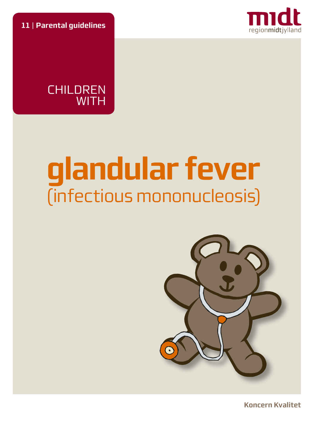**11** | **Parental guidelines**





# **glandular fever**  (infectious mononucleosis)



**Koncern Kvalitet**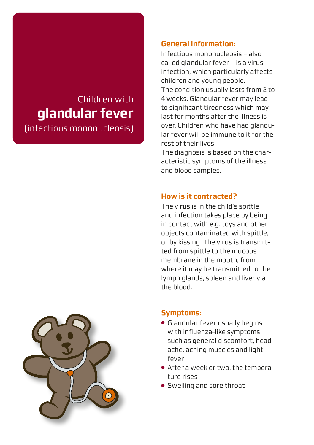# Children with **glandular fever**

(infectious mononucleosis)

### **General information:**

Infectious mononucleosis – also called glandular fever – is a virus infection, which particularly affects children and young people. The condition usually lasts from 2 to 4 weeks. Glandular fever may lead to significant tiredness which may last for months after the illness is over. Children who have had glandular fever will be immune to it for the rest of their lives.

The diagnosis is based on the characteristic symptoms of the illness and blood samples.

### **How is it contracted?**

The virus is in the child's spittle and infection takes place by being in contact with e.g. toys and other objects contaminated with spittle, or by kissing. The virus is transmitted from spittle to the mucous membrane in the mouth, from where it may be transmitted to the lymph glands, spleen and liver via the blood.



## **Symptoms:**

- Glandular fever usually begins with influenza-like symptoms such as general discomfort, headache, aching muscles and light fever
- After a week or two, the temperature rises
- Swelling and sore throat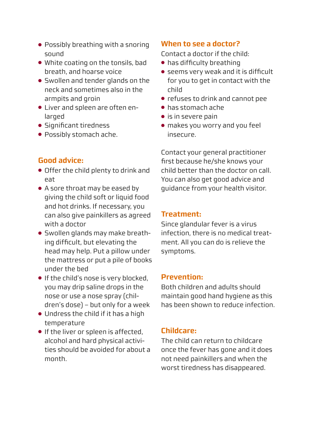- Possibly breathing with a snoring sound
- White coating on the tonsils, bad breath, and hoarse voice
- Swollen and tender glands on the neck and sometimes also in the armpits and groin
- Liver and spleen are often enlarged
- Significant tiredness
- Possibly stomach ache.

#### **Good advice:**

- Offer the child plenty to drink and eat
- A sore throat may be eased by giving the child soft or liquid food and hot drinks. If necessary, you can also give painkillers as agreed with a doctor
- Swollen glands may make breathing difficult, but elevating the head may help. Put a pillow under the mattress or put a pile of books under the bed
- If the child's nose is very blocked, you may drip saline drops in the nose or use a nose spray (children's dose) – but only for a week
- Undress the child if it has a high temperature
- If the liver or spleen is affected, alcohol and hard physical activities should be avoided for about a month.

#### **When to see a doctor?**

Contact a doctor if the child:

- has difficulty breathing
- seems very weak and it is difficult for you to get in contact with the child
- refuses to drink and cannot pee
- has stomach ache
- is in severe pain
- makes you worry and you feel insecure.

Contact your general practitioner first because he/she knows your child better than the doctor on call. You can also get good advice and guidance from your health visitor.

#### **Treatment:**

Since glandular fever is a virus infection, there is no medical treatment. All you can do is relieve the symptoms.

#### **Prevention:**

Both children and adults should maintain good hand hygiene as this has been shown to reduce infection.

#### **Childcare:**

The child can return to childcare once the fever has gone and it does not need painkillers and when the worst tiredness has disappeared.